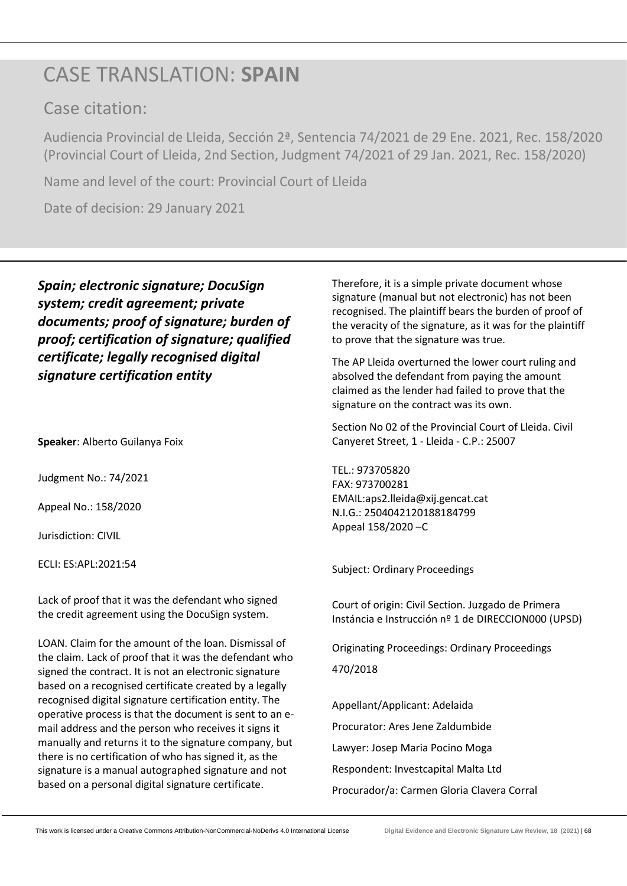# CASE TRANSLATION: **SPAIN**

## Case citation:

Audiencia Provincial de Lleida, Sección 2ª, Sentencia 74/2021 de 29 Ene. 2021, Rec. 158/2020 (Provincial Court of Lleida, 2nd Section, Judgment 74/2021 of 29 Jan. 2021, Rec. 158/2020)

Name and level of the court: Provincial Court of Lleida

Date of decision: 29 January 2021

*Spain; electronic signature; DocuSign system; credit agreement; private documents; proof of signature; burden of proof; certification of signature; qualified certificate; legally recognised digital signature certification entity*

**Speaker**: Alberto Guilanya Foix

Judgment No.: 74/2021

Appeal No.: 158/2020

Jurisdiction: CIVIL

ECLI: ES:APL:2021:54

Lack of proof that it was the defendant who signed the credit agreement using the DocuSign system.

LOAN. Claim for the amount of the loan. Dismissal of the claim. Lack of proof that it was the defendant who signed the contract. It is not an electronic signature based on a recognised certificate created by a legally recognised digital signature certification entity. The operative process is that the document is sent to an email address and the person who receives it signs it manually and returns it to the signature company, but there is no certification of who has signed it, as the signature is a manual autographed signature and not based on a personal digital signature certificate.

Therefore, it is a simple private document whose signature (manual but not electronic) has not been recognised. The plaintiff bears the burden of proof of the veracity of the signature, as it was for the plaintiff to prove that the signature was true.

The AP Lleida overturned the lower court ruling and absolved the defendant from paying the amount claimed as the lender had failed to prove that the signature on the contract was its own.

Section No 02 of the Provincial Court of Lleida. Civil Canyeret Street, 1 - Lleida - C.P.: 25007

TEL.: 973705820 FAX: 973700281 EMAIL:aps2.lleida@xij.gencat.cat N.I.G.: 2504042120188184799 Appeal 158/2020 –C

Subject: Ordinary Proceedings

Court of origin: Civil Section. Juzgado de Primera Instáncia e Instrucción nº 1 de DIRECCION000 (UPSD)

Originating Proceedings: Ordinary Proceedings 470/2018

Appellant/Applicant: Adelaida Procurator: Ares Jene Zaldumbide Lawyer: Josep Maria Pocino Moga Respondent: Investcapital Malta Ltd Procurador/a: Carmen Gloria Clavera Corral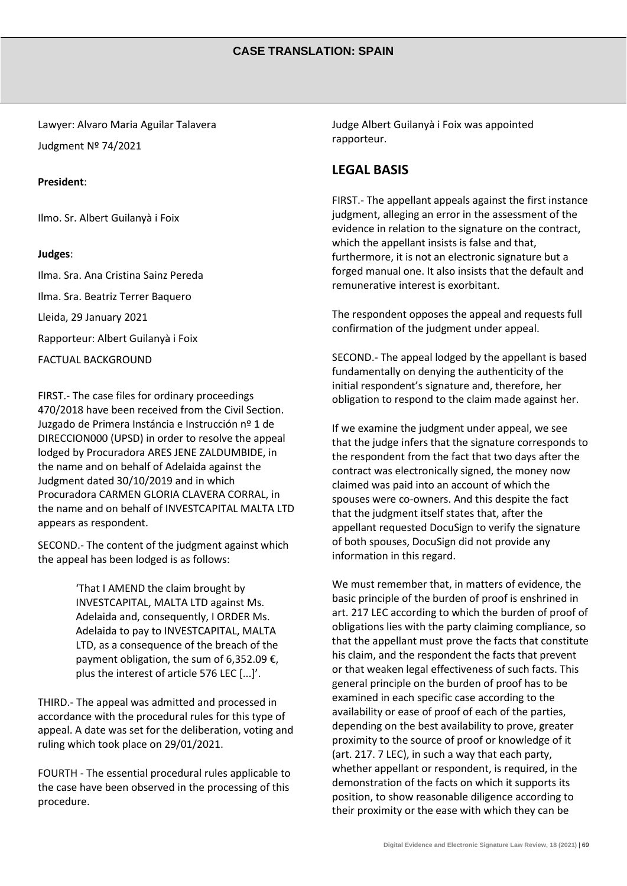Lawyer: Alvaro Maria Aguilar Talavera Judgment Nº 74/2021

#### **President**:

Ilmo. Sr. Albert Guilanyà i Foix

#### **Judges**:

Ilma. Sra. Ana Cristina Sainz Pereda Ilma. Sra. Beatriz Terrer Baquero Lleida, 29 January 2021 Rapporteur: Albert Guilanyà i Foix FACTUAL BACKGROUND

FIRST.- The case files for ordinary proceedings 470/2018 have been received from the Civil Section. Juzgado de Primera Instáncia e Instrucción nº 1 de DIRECCION000 (UPSD) in order to resolve the appeal lodged by Procuradora ARES JENE ZALDUMBIDE, in the name and on behalf of Adelaida against the Judgment dated 30/10/2019 and in which Procuradora CARMEN GLORIA CLAVERA CORRAL, in the name and on behalf of INVESTCAPITAL MALTA LTD appears as respondent.

SECOND.- The content of the judgment against which the appeal has been lodged is as follows:

> 'That I AMEND the claim brought by INVESTCAPITAL, MALTA LTD against Ms. Adelaida and, consequently, I ORDER Ms. Adelaida to pay to INVESTCAPITAL, MALTA LTD, as a consequence of the breach of the payment obligation, the sum of 6,352.09 €, plus the interest of article 576 LEC [...]'.

THIRD.- The appeal was admitted and processed in accordance with the procedural rules for this type of appeal. A date was set for the deliberation, voting and ruling which took place on 29/01/2021.

FOURTH - The essential procedural rules applicable to the case have been observed in the processing of this procedure.

Judge Albert Guilanyà i Foix was appointed rapporteur.

### **LEGAL BASIS**

FIRST.- The appellant appeals against the first instance judgment, alleging an error in the assessment of the evidence in relation to the signature on the contract, which the appellant insists is false and that, furthermore, it is not an electronic signature but a forged manual one. It also insists that the default and remunerative interest is exorbitant.

The respondent opposes the appeal and requests full confirmation of the judgment under appeal.

SECOND.- The appeal lodged by the appellant is based fundamentally on denying the authenticity of the initial respondent's signature and, therefore, her obligation to respond to the claim made against her.

If we examine the judgment under appeal, we see that the judge infers that the signature corresponds to the respondent from the fact that two days after the contract was electronically signed, the money now claimed was paid into an account of which the spouses were co-owners. And this despite the fact that the judgment itself states that, after the appellant requested DocuSign to verify the signature of both spouses, DocuSign did not provide any information in this regard.

We must remember that, in matters of evidence, the basic principle of the burden of proof is enshrined in art. 217 LEC according to which the burden of proof of obligations lies with the party claiming compliance, so that the appellant must prove the facts that constitute his claim, and the respondent the facts that prevent or that weaken legal effectiveness of such facts. This general principle on the burden of proof has to be examined in each specific case according to the availability or ease of proof of each of the parties, depending on the best availability to prove, greater proximity to the source of proof or knowledge of it (art. 217. 7 LEC), in such a way that each party, whether appellant or respondent, is required, in the demonstration of the facts on which it supports its position, to show reasonable diligence according to their proximity or the ease with which they can be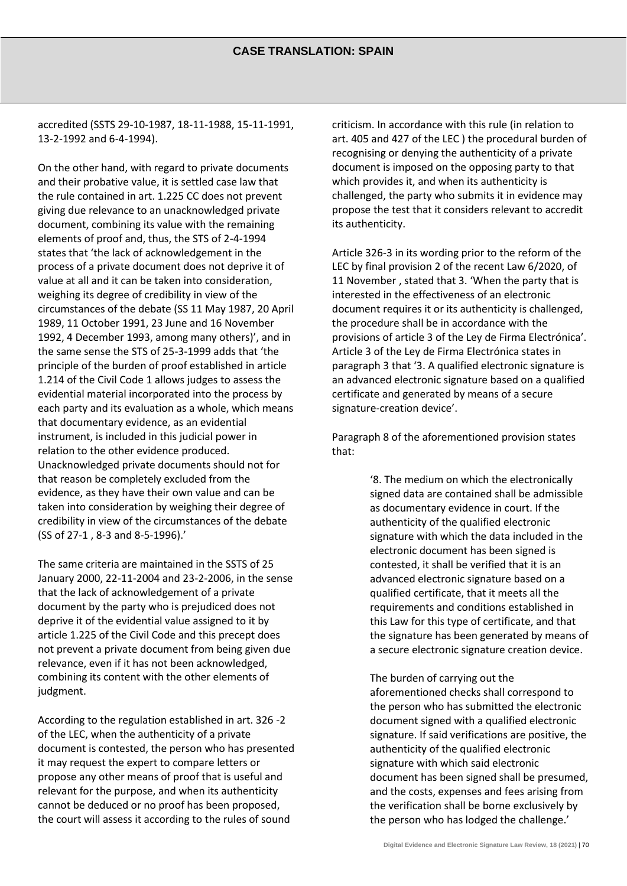accredited (SSTS 29-10-1987, 18-11-1988, 15-11-1991, 13-2-1992 and 6-4-1994).

On the other hand, with regard to private documents and their probative value, it is settled case law that the rule contained in art. 1.225 CC does not prevent giving due relevance to an unacknowledged private document, combining its value with the remaining elements of proof and, thus, the STS of 2-4-1994 states that 'the lack of acknowledgement in the process of a private document does not deprive it of value at all and it can be taken into consideration, weighing its degree of credibility in view of the circumstances of the debate (SS 11 May 1987, 20 April 1989, 11 October 1991, 23 June and 16 November 1992, 4 December 1993, among many others)', and in the same sense the STS of 25-3-1999 adds that 'the principle of the burden of proof established in article 1.214 of the Civil Code 1 allows judges to assess the evidential material incorporated into the process by each party and its evaluation as a whole, which means that documentary evidence, as an evidential instrument, is included in this judicial power in relation to the other evidence produced. Unacknowledged private documents should not for that reason be completely excluded from the evidence, as they have their own value and can be taken into consideration by weighing their degree of credibility in view of the circumstances of the debate (SS of 27-1 , 8-3 and 8-5-1996).'

The same criteria are maintained in the SSTS of 25 January 2000, 22-11-2004 and 23-2-2006, in the sense that the lack of acknowledgement of a private document by the party who is prejudiced does not deprive it of the evidential value assigned to it by article 1.225 of the Civil Code and this precept does not prevent a private document from being given due relevance, even if it has not been acknowledged, combining its content with the other elements of judgment.

According to the regulation established in art. 326 -2 of the LEC, when the authenticity of a private document is contested, the person who has presented it may request the expert to compare letters or propose any other means of proof that is useful and relevant for the purpose, and when its authenticity cannot be deduced or no proof has been proposed, the court will assess it according to the rules of sound

criticism. In accordance with this rule (in relation to art. 405 and 427 of the LEC ) the procedural burden of recognising or denying the authenticity of a private document is imposed on the opposing party to that which provides it, and when its authenticity is challenged, the party who submits it in evidence may propose the test that it considers relevant to accredit its authenticity.

Article 326-3 in its wording prior to the reform of the LEC by final provision 2 of the recent Law 6/2020, of 11 November , stated that 3. 'When the party that is interested in the effectiveness of an electronic document requires it or its authenticity is challenged, the procedure shall be in accordance with the provisions of article 3 of the Ley de Firma Electrónica'. Article 3 of the Ley de Firma Electrónica states in paragraph 3 that '3. A qualified electronic signature is an advanced electronic signature based on a qualified certificate and generated by means of a secure signature-creation device'.

Paragraph 8 of the aforementioned provision states that:

> '8. The medium on which the electronically signed data are contained shall be admissible as documentary evidence in court. If the authenticity of the qualified electronic signature with which the data included in the electronic document has been signed is contested, it shall be verified that it is an advanced electronic signature based on a qualified certificate, that it meets all the requirements and conditions established in this Law for this type of certificate, and that the signature has been generated by means of a secure electronic signature creation device.

> The burden of carrying out the aforementioned checks shall correspond to the person who has submitted the electronic document signed with a qualified electronic signature. If said verifications are positive, the authenticity of the qualified electronic signature with which said electronic document has been signed shall be presumed, and the costs, expenses and fees arising from the verification shall be borne exclusively by the person who has lodged the challenge.'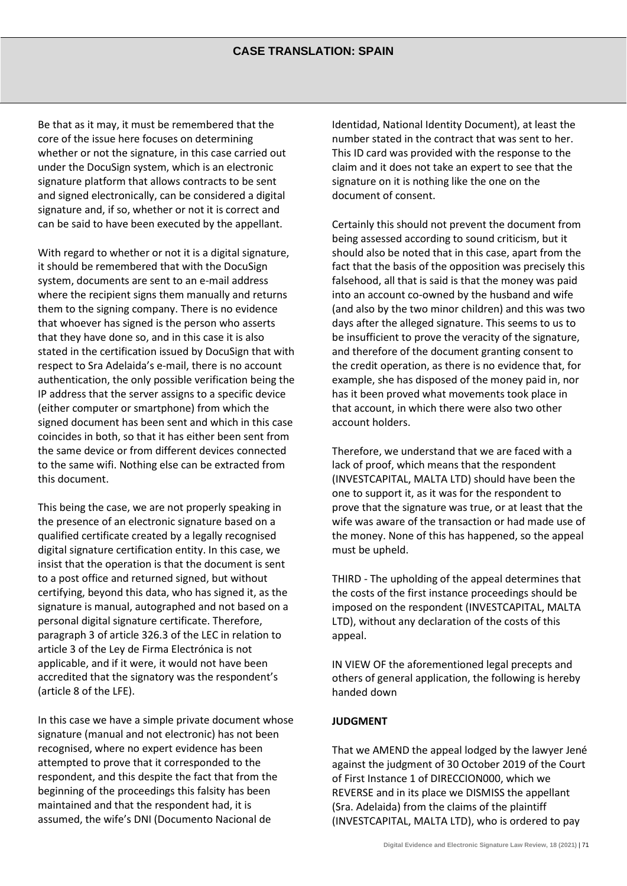Be that as it may, it must be remembered that the core of the issue here focuses on determining whether or not the signature, in this case carried out under the DocuSign system, which is an electronic signature platform that allows contracts to be sent and signed electronically, can be considered a digital signature and, if so, whether or not it is correct and can be said to have been executed by the appellant.

With regard to whether or not it is a digital signature, it should be remembered that with the DocuSign system, documents are sent to an e-mail address where the recipient signs them manually and returns them to the signing company. There is no evidence that whoever has signed is the person who asserts that they have done so, and in this case it is also stated in the certification issued by DocuSign that with respect to Sra Adelaida's e-mail, there is no account authentication, the only possible verification being the IP address that the server assigns to a specific device (either computer or smartphone) from which the signed document has been sent and which in this case coincides in both, so that it has either been sent from the same device or from different devices connected to the same wifi. Nothing else can be extracted from this document.

This being the case, we are not properly speaking in the presence of an electronic signature based on a qualified certificate created by a legally recognised digital signature certification entity. In this case, we insist that the operation is that the document is sent to a post office and returned signed, but without certifying, beyond this data, who has signed it, as the signature is manual, autographed and not based on a personal digital signature certificate. Therefore, paragraph 3 of article 326.3 of the LEC in relation to article 3 of the Ley de Firma Electrónica is not applicable, and if it were, it would not have been accredited that the signatory was the respondent's (article 8 of the LFE).

In this case we have a simple private document whose signature (manual and not electronic) has not been recognised, where no expert evidence has been attempted to prove that it corresponded to the respondent, and this despite the fact that from the beginning of the proceedings this falsity has been maintained and that the respondent had, it is assumed, the wife's DNI (Documento Nacional de

Identidad, National Identity Document), at least the number stated in the contract that was sent to her. This ID card was provided with the response to the claim and it does not take an expert to see that the signature on it is nothing like the one on the document of consent.

Certainly this should not prevent the document from being assessed according to sound criticism, but it should also be noted that in this case, apart from the fact that the basis of the opposition was precisely this falsehood, all that is said is that the money was paid into an account co-owned by the husband and wife (and also by the two minor children) and this was two days after the alleged signature. This seems to us to be insufficient to prove the veracity of the signature, and therefore of the document granting consent to the credit operation, as there is no evidence that, for example, she has disposed of the money paid in, nor has it been proved what movements took place in that account, in which there were also two other account holders.

Therefore, we understand that we are faced with a lack of proof, which means that the respondent (INVESTCAPITAL, MALTA LTD) should have been the one to support it, as it was for the respondent to prove that the signature was true, or at least that the wife was aware of the transaction or had made use of the money. None of this has happened, so the appeal must be upheld.

THIRD - The upholding of the appeal determines that the costs of the first instance proceedings should be imposed on the respondent (INVESTCAPITAL, MALTA LTD), without any declaration of the costs of this appeal.

IN VIEW OF the aforementioned legal precepts and others of general application, the following is hereby handed down

#### **JUDGMENT**

That we AMEND the appeal lodged by the lawyer Jené against the judgment of 30 October 2019 of the Court of First Instance 1 of DIRECCION000, which we REVERSE and in its place we DISMISS the appellant (Sra. Adelaida) from the claims of the plaintiff (INVESTCAPITAL, MALTA LTD), who is ordered to pay